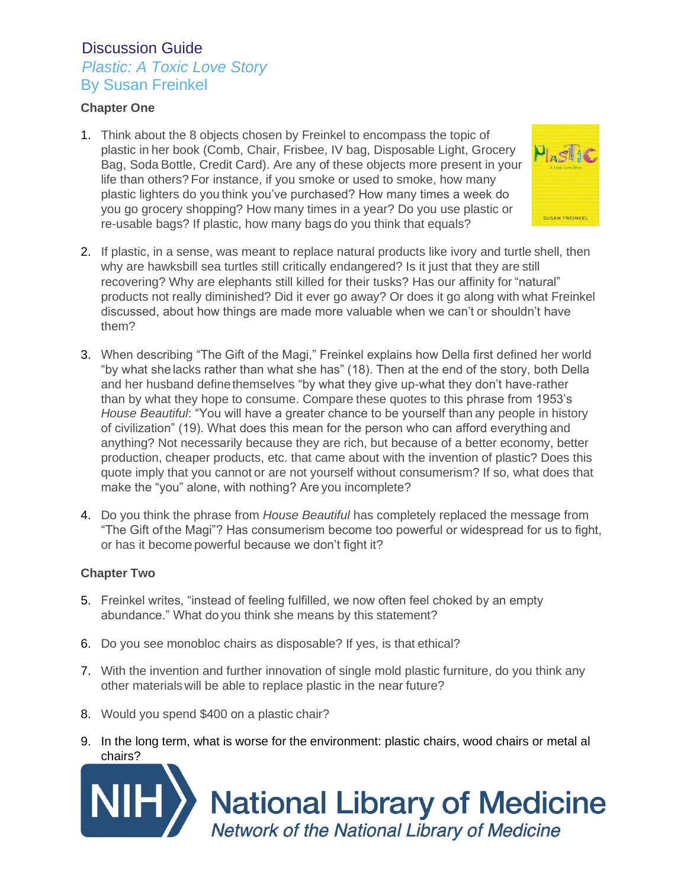### *Plastic: A Toxic Love Story* By Susan Freinkel

#### **Chapter One**

1. Think about the 8 objects chosen by Freinkel to encompass the topic of plastic in her book (Comb, Chair, Frisbee, IV bag, Disposable Light, Grocery Bag, Soda Bottle, Credit Card). Are any of these objects more present in your life than others? For instance, if you smoke or used to smoke, how many plastic lighters do you think you've purchased? How many times a week do you go grocery shopping? How many times in a year? Do you use plastic or re-usable bags? If plastic, how many bags do you think that equals?



- 2. If plastic, in a sense, was meant to replace natural products like ivory and turtle shell, then why are hawksbill sea turtles still critically endangered? Is it just that they are still recovering? Why are elephants still killed for their tusks? Has our affinity for "natural" products not really diminished? Did it ever go away? Or does it go along with what Freinkel discussed, about how things are made more valuable when we can't or shouldn't have them?
- 3. When describing "The Gift of the Magi," Freinkel explains how Della first defined her world "by what she lacks rather than what she has" (18). Then at the end of the story, both Della and her husband define themselves "by what they give up-what they don't have-rather than by what they hope to consume. Compare these quotes to this phrase from 1953's *House Beautiful*: "You will have a greater chance to be yourself than any people in history of civilization" (19). What does this mean for the person who can afford everything and anything? Not necessarily because they are rich, but because of a better economy, better production, cheaper products, etc. that came about with the invention of plastic? Does this quote imply that you cannot or are not yourself without consumerism? If so, what does that make the "you" alone, with nothing? Are you incomplete?
- 4. Do you think the phrase from *House Beautiful* has completely replaced the message from "The Gift ofthe Magi"? Has consumerism become too powerful or widespread for us to fight, or has it become powerful because we don't fight it?

#### **Chapter Two**

- 5. Freinkel writes, "instead of feeling fulfilled, we now often feel choked by an empty abundance." What do you think she means by this statement?
- 6. Do you see monobloc chairs as disposable? If yes, is that ethical?
- 7. With the invention and further innovation of single mold plastic furniture, do you think any other materialswill be able to replace plastic in the near future?
- 8. Would you spend \$400 on a plastic chair?
- 9. In the long term, what is worse for the environment: plastic chairs, wood chairs or metal al chairs?



**National Library of Medicine**<br>Network of the National Library of Medicine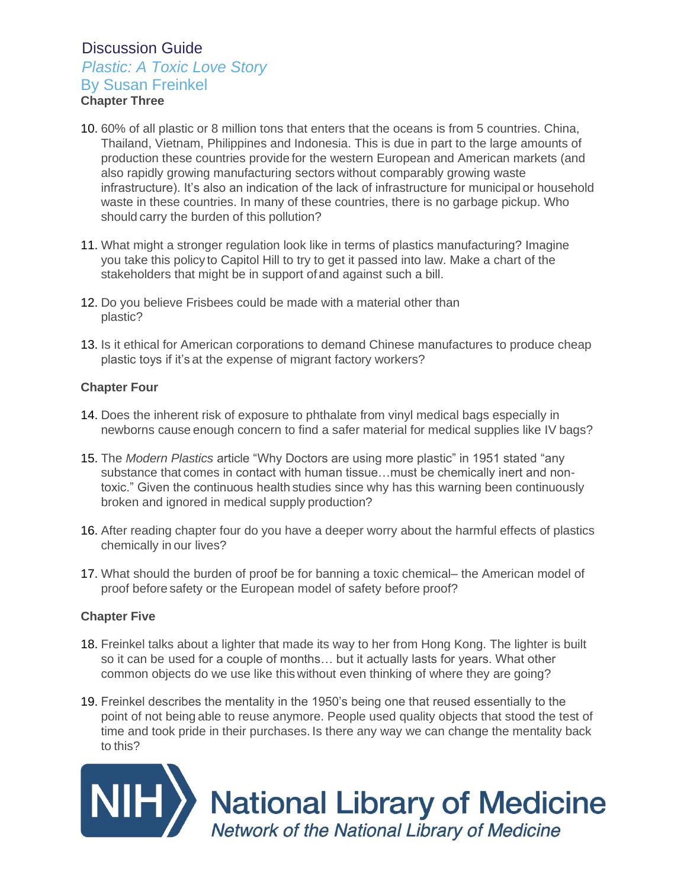## *Plastic: A Toxic Love Story*

### By Susan Freinkel

**Chapter Three**

- 10. 60% of all plastic or 8 million tons that enters that the oceans is from 5 countries. China, Thailand, Vietnam, Philippines and Indonesia. This is due in part to the large amounts of production these countries provide for the western European and American markets (and also rapidly growing manufacturing sectors without comparably growing waste infrastructure). It's also an indication of the lack of infrastructure for municipal or household waste in these countries. In many of these countries, there is no garbage pickup. Who should carry the burden of this pollution?
- 11. What might a stronger regulation look like in terms of plastics manufacturing? Imagine you take this policy to Capitol Hill to try to get it passed into law. Make a chart of the stakeholders that might be in support ofand against such a bill.
- 12. Do you believe Frisbees could be made with a material other than plastic?
- 13. Is it ethical for American corporations to demand Chinese manufactures to produce cheap plastic toys if it's at the expense of migrant factory workers?

#### **Chapter Four**

- 14. Does the inherent risk of exposure to phthalate from vinyl medical bags especially in newborns cause enough concern to find a safer material for medical supplies like IV bags?
- 15. The *Modern Plastics* article "Why Doctors are using more plastic" in 1951 stated "any substance that comes in contact with human tissue…must be chemically inert and nontoxic." Given the continuous health studies since why has this warning been continuously broken and ignored in medical supply production?
- 16. After reading chapter four do you have a deeper worry about the harmful effects of plastics chemically in our lives?
- 17. What should the burden of proof be for banning a toxic chemical– the American model of proof before safety or the European model of safety before proof?

#### **Chapter Five**

- 18. Freinkel talks about a lighter that made its way to her from Hong Kong. The lighter is built so it can be used for a couple of months… but it actually lasts for years. What other common objects do we use like this without even thinking of where they are going?
- 19. Freinkel describes the mentality in the 1950's being one that reused essentially to the point of not being able to reuse anymore. People used quality objects that stood the test of time and took pride in their purchases. Is there any way we can change the mentality back to this?

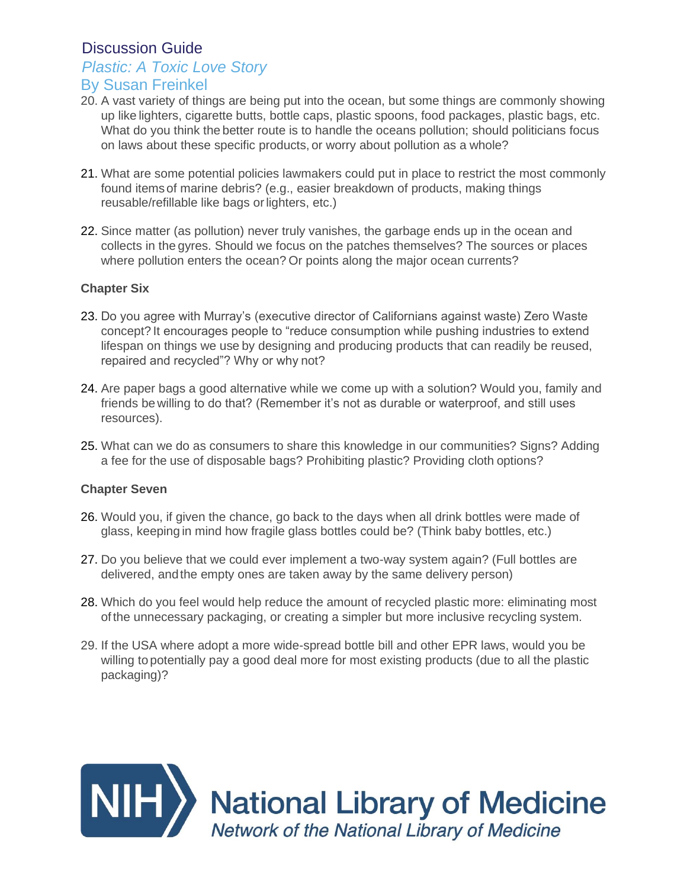### *Plastic: A Toxic Love Story*

### By Susan Freinkel

- 20. A vast variety of things are being put into the ocean, but some things are commonly showing up like lighters, cigarette butts, bottle caps, plastic spoons, food packages, plastic bags, etc. What do you think the better route is to handle the oceans pollution; should politicians focus on laws about these specific products, or worry about pollution as a whole?
- 21. What are some potential policies lawmakers could put in place to restrict the most commonly found itemsof marine debris? (e.g., easier breakdown of products, making things reusable/refillable like bags or lighters, etc.)
- 22. Since matter (as pollution) never truly vanishes, the garbage ends up in the ocean and collects in the gyres. Should we focus on the patches themselves? The sources or places where pollution enters the ocean? Or points along the major ocean currents?

#### **Chapter Six**

- 23. Do you agree with Murray's (executive director of Californians against waste) Zero Waste concept? It encourages people to "reduce consumption while pushing industries to extend lifespan on things we use by designing and producing products that can readily be reused, repaired and recycled"? Why or why not?
- 24. Are paper bags a good alternative while we come up with a solution? Would you, family and friends be willing to do that? (Remember it's not as durable or waterproof, and still uses resources).
- 25. What can we do as consumers to share this knowledge in our communities? Signs? Adding a fee for the use of disposable bags? Prohibiting plastic? Providing cloth options?

#### **Chapter Seven**

- 26. Would you, if given the chance, go back to the days when all drink bottles were made of glass, keeping in mind how fragile glass bottles could be? (Think baby bottles, etc.)
- 27. Do you believe that we could ever implement a two-way system again? (Full bottles are delivered, andthe empty ones are taken away by the same delivery person)
- 28. Which do you feel would help reduce the amount of recycled plastic more: eliminating most of the unnecessary packaging, or creating a simpler but more inclusive recycling system.
- 29. If the USA where adopt a more wide-spread bottle bill and other EPR laws, would you be willing to potentially pay a good deal more for most existing products (due to all the plastic packaging)?